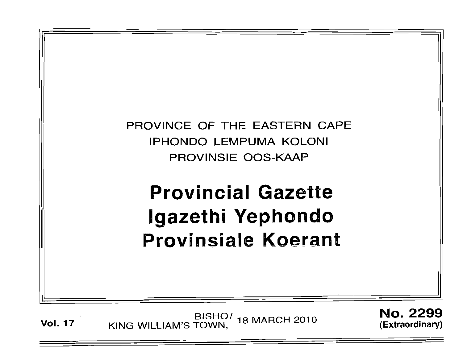

Vol. 17 BISHO<sup>/</sup> 18 MARCH 2010 KING WILLIAM'S TOWN,

No. 2299 (Extraordinary)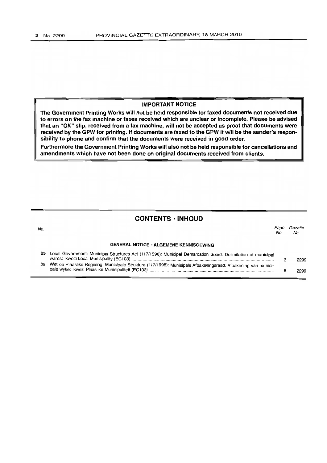### **IMPORTANT NOTICE**

**The Government Printing Works will not be held responsible for faxed documents not received due to errors on the fax machine or faxes received which are unclear or incomplete. Please be advised that an "OK" slip, received from a fax machine, will not be accepted as proof that documents were received by the GPW for printing. If documents are faxed to the GPW it will be the sender's responsibility to phone and confirm that the documents were received in good order.**

**Furthermore the Government Printing Works will also not be held responsible for cancellations and amendments which have not been done on original documents received from clients.**

## **CONTENTS • INHOUD**

| No. |                                                                                                                | Page<br>Nο. | Gazette<br>No. |
|-----|----------------------------------------------------------------------------------------------------------------|-------------|----------------|
|     | <b>GENERAL NOTICE · ALGEMENE KENNISGEWING</b>                                                                  |             |                |
| 89  | Local Government: Municipal Structures Act (117/1998): Municipal Demarcation Board: Delimitation of municipal  |             | 2299           |
| 89  | Wet op Plaaslike Regering: Munisipale Strukture (117/1998): Munisipale Afbakeningsraad: Afbakening van munisi- |             | 2299           |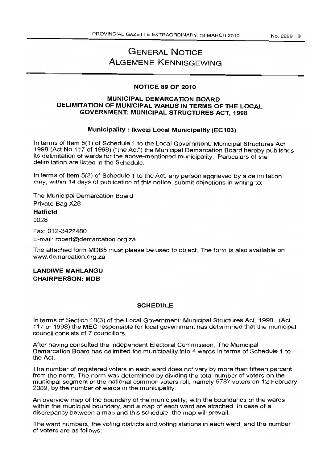# **GENERAL NOTICE ALGEMENE KENNISGEWING**

#### **NOTICE 89 OF 2010**

## **MUNICIPAL DEMARCATION BOARD DELIMITATION OF MUNICIPAL WARDS IN TERMS OF THE LOCAL GOVERNMENT: MUNICIPAL STRUCTURES ACT, 1998**

## **Municipality: Ikwezi Local Municipality (EC103)**

In terms of Item 5(1) of Schedule 1 to the Local Government: Municipal Structures Act, 1998 (Act No.117 of 1998) ("the Act") the Municipal Demarcation Board hereby publishes its delimitation of wards for the above-mentioned municipality. Particulars of the delimitation are listed in the Schedule.

In terms of Item 5(2) of Schedule 1 to the Act, any person aggrieved by a delimitation may, within 14 days of publication of this notice, submit objections in writing to:

The Municipal Demarcation Board Private Bag X28

**Hatfield** 0028

Fax: 012-3422480 E-mail: robert@demarcation.org.za

The attached form MDB5 must please be used to object. The form is also available on

**LANDIWE MAHLANGU CHAIRPERSON: MOB**

www.demarcation.org.za

### **SCHEDULE**

In terms of Section 18(3) of the Local Government: Municipal Structures Act, 1998 (Act 117 of 1998) the MEC responsible for local government has determined that the municipal council consists of 7 councillors.

After having consulted the Independent Electoral Commission, The Municipal Demarcation Board has delimited the municipality into 4 wards in terms of Schedule 1 to the Act.

The number of registered voters in each ward does not vary by more than fifteen percent from the norm. The norm was determined by dividing the total number of voters on the municipal segment of the national common voters roll, namely 5787 voters on 12 February 2009, by the number of wards in the municipality.

An overview map of the boundary of the municipality, with the boundaries of the wards within the municipal boundary, and a map of each ward are attached. In case of a discrepancy between a map and this schedule, the map will prevail.

The ward numbers, the voting districts and voting stations in each ward, and the number of voters are as follows: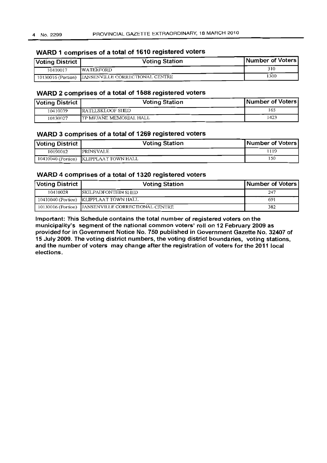## **WARD 1 comprises of a total of 1610 registered voters**

| <b>Voting District</b> | <b>Voting Station</b>                              | Number of Voters |
|------------------------|----------------------------------------------------|------------------|
| 10410017               | <b>IWATERFORD</b>                                  | 310              |
|                        | 10130016 (Portion) JANSENVILLE CORRECTIONAL CENTRE | 1300             |

## **WARD 2 comprises of a total of 1588 registered voters**

| Voting District | <b>Voting Station</b>           | Number of Voters |
|-----------------|---------------------------------|------------------|
| 10410039        | RATELSKLOOF SIED                | 165              |
| 10130027        | <b>ITP MEJANE MEMORIAL HALL</b> | 423              |

## **WARD 3 comprises of a total of 1269 registered voters**

| Voting District | <b>Voting Station</b>                  | Number of Voters |
|-----------------|----------------------------------------|------------------|
| 10190012        | <b>PRINSVALE</b>                       | 1119             |
|                 | 10410040 (Portion) KLIPPLAAT TOWN HALL | 150              |

| WARD 4 comprises of a total of 1320 registered voters |                                                    |                  |  |
|-------------------------------------------------------|----------------------------------------------------|------------------|--|
| Voting District                                       | <b>Voting Station</b>                              | Number of Voters |  |
| 10410028                                              | <b>ISKILPADFONTEIN SHED</b>                        | 247              |  |
|                                                       | 10410040 (Portion) KLIPPLAAT TOWN HALL             | 691              |  |
|                                                       | 10130016 (Portion) JANSENVILLE CORRECTIONAL CENTRE | 382              |  |

**Important: This Schedule contains the total number of registered voters on the municipality's segment ofthe national common voters' roll on 12 February 2009 as provided for in Government Notice 1\10. 750 published in Government Gazette No. 32407 of 15 July 2009. The voting district numbers, the voting district boundaries, voting stations, and the number of voters may change after the registration of voters for the 2011 local elections.**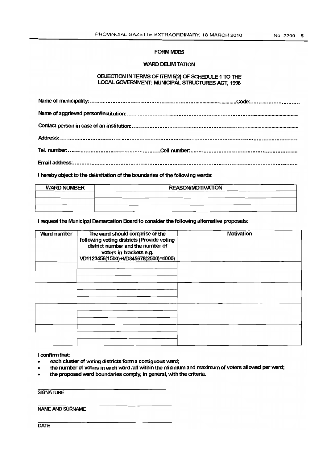#### FORM MDB5

#### WARD DELIMITATION

#### OBJECTION IN TERMS OF ITEM 5(2) OF SCHEDULE 1 TO THE LOCAL GOVERNMENT: MUNICIPAL STRUCTURES ACT, 1998

I hereby object to the delimitation of the boundaries of the following wards:

| <b>WARD NUMBER</b> | <b>REASON/MOTIVATION</b> |
|--------------------|--------------------------|
|                    |                          |
|                    |                          |
|                    |                          |

I request the Municipal Demarcation Board to consider the following alternative proposals:

| Ward number | The ward should comprise of the<br>following voting districts (Provide voting<br>district number and the number of<br>voters in brackets e.g.<br>VD1123456(1500)+VD345678(2500)=4000) | Motivation |
|-------------|---------------------------------------------------------------------------------------------------------------------------------------------------------------------------------------|------------|
|             |                                                                                                                                                                                       |            |
|             |                                                                                                                                                                                       |            |
|             |                                                                                                                                                                                       |            |
|             |                                                                                                                                                                                       |            |

I confirm that:

- each cluster of voting districts form a contiguous ward;
- the number of voters in each ward fall within the minimum and maximum of voters allowed per ward;
- the proposed ward boundaries comply, in general, with the criteria.

**SIGNATURE** 

NAMEAND SURNAME

**DATE**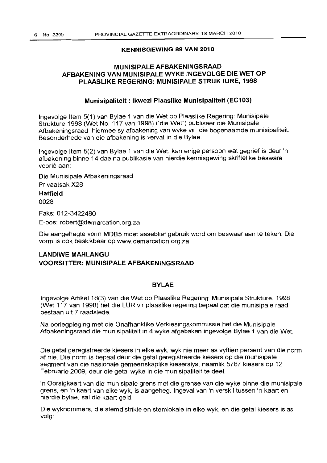## **KENNISGEWING 89 VAN 2010**

## **MUNISIPALE AFBAKENINGSRAAD AFBAKENING VAN MUNISIPALE WYKE INGEVOLGE DIE WET OP PLAASLIKE REGERING: MUNISIPALE STRUKTURE, 1998**

## **Munisipaliteit: Ikwezi Plaaslike Munisipaliteit (EC103)**

Ingevolge Item 5(1) van Bylae 1 van die Wet op Plaaslike Regering: Munisipale Strukture, 1998 (Wet No. 117 van 1998) ("die Wet") publiseer die Munisipale Afbakeningsraad hiermee sy afbakening van wyke vir die bogenaamde munisipaliteit. Besonderhede van die afbakening is vervat in die Bylae.

Ingevolge Item 5(2) van Bylae 1 van die Wet, kan enige persoon wat gegrief is deur 'n afbakening binne 14 dae na publikasie van hierdie kennisgewing skriftelike besware voorle aan:

Die Munisipale Afbakeningsraad Privaatsak X28

**Hatfield**

0028

Faks: 012-3422480

E-pos: robert@demarcation.org.za

Die aangehegte vorm MOBS moet asseblief gebruik word am beswaar aan te teken. Die vorm is oak beskikbaar op www.demarcation.org.za

## **LANDIWE MAHLANGU VOORSITTER: MUNISIPALE AFBAKENINGSRAAD**

## **BYLAE**

Ingevolge Artikel 18(3) van die Wet op Plaaslike Regering: Munisipale Strukture, 1998 (Wet 117 van 1998) het die LUR vir plaaslike regering bepaal dat die munisipale raad bestaan uit 7 raadslede.

Na oorlegpleging met die Onafhanklike Verkiesingskommissie het die Munisipale Afbakeningsraad die munisipaliteit in 4 wyke afgebaken ingevolge Bylae 1 van die Wet.

Die getal geregistreerde kiesers in elke wyk, wyk nie meer as vyftien persent van die norm af nie. Die norm is bepaal deur die getal geregistreerde kiesers op die munisipale segment van die nasionale gemeenskaplike kieserslys, naamlik 5787 kiesers op 12 Februarie 2009, deur die getal wyke in die munisipaliteit te deal.

'n Oorsigkaart van die munisipale grens met die grense van die wyke binne die munisipale grens, en 'n kaart van elke wyk, is aangeheg. Ingeval van 'n verskil tussen 'n kaart en hierdie bylae, sal die kaart geld.

Die wyknommers, die stemdistrikte en stemlokale in elke wyk, en die getal kiesers is as volg: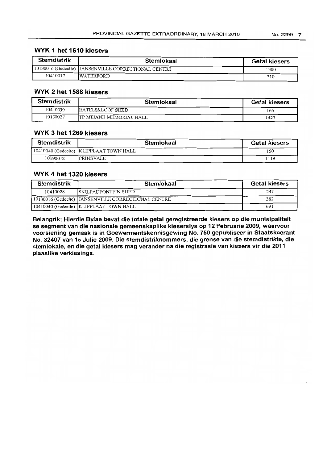## **WYK 1 het 1610 kiesers**

| <b>Stemdistrik</b> | Stemlokaal                                          | <b>Getal kiesers</b> |
|--------------------|-----------------------------------------------------|----------------------|
|                    | 10130016 (Gedeelte) JANSENVILLE CORRECTIONAL CENTRE | 1300                 |
| 10410017           | <b>IWATERFORD</b>                                   | 310                  |

## **WYK 2 het 1588 kiesers**

| <b>Stemdistrik</b> | Stemlokaal               | <b>Getal kiesers</b> |
|--------------------|--------------------------|----------------------|
| 10410039           | RATELSKLOOF SHED         | 165                  |
| 10130027           | ITP MEJANE MEMORIAL HALL | 1423                 |

## **WYK 3 het 1269 kiesers**

| <b>Stemdistrik</b> | Stemlokaal                               | <b>Getal kiesers</b> |
|--------------------|------------------------------------------|----------------------|
|                    | 10410040 (Gedecite)  KLIPPLAAT TOWN HALL | 50                   |
| 10190012           | <b>PRINSVALE</b>                         | 119                  |

| WYK 4 het 1320 kiesers |                                                     |                      |  |
|------------------------|-----------------------------------------------------|----------------------|--|
| <b>Stemdistrik</b>     | Stemlokaal                                          | <b>Getal kiesers</b> |  |
| 10410028               | <b>SKILPADFONTEIN SHED</b>                          | 247                  |  |
|                        | 10130016 (Gedeelte) JANSENVILLE CORRECTIONAL CENTRE | 382                  |  |
|                        | 10410040 (Gedeelte) KLIPPLAAT TOWN HALL             | 691                  |  |

**Belangrik: Hierdie Bylae bevat die totale getal geregistreerde kiesers op die munisipaliteit se segment van die nasionale gemeenskaplike kieserslys op 12 Februarie 2009, waarvoor voorsiening gemaak is in Goewermentskennisgewing No. 750 gepubliseer in Staatskoerant No. 32407 van 15 Julie 2009. Die stemdistriknommers, die grense van die stemdistrikte, die stemlokale, en die getal kiesers mag verander na die registrasie van kiesers vir die 2011 plaaslike verkiesings.**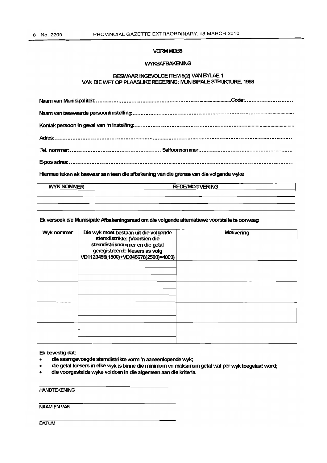#### VORMIVDB5

#### **WYKSAFBAKENING**

#### BESWAAR INGEVOLGE ITEM 5(2) VAN BYLAE 1 VAN DIE WET OP PLAASLIKE REGERING: MUNISIPALE STRUKTURE, 1998

Hiermee teken ek beswaar aan teen die afbakening van die grense van die volgende wyke.

| <b>WYK NOMMER</b> | <b>REDE/MOTIVERING</b> |  |
|-------------------|------------------------|--|
|                   |                        |  |
|                   |                        |  |
|                   |                        |  |

Ek versoek die Munisipale Afbakeningsraad om die volgende alternatiewe voorstelle te oorweeg:

| Wyk nommer | Die wyk moet bestaan uit die volgende<br>stemdistrikte: (Voorsien die<br>stemdistriknommer en die getal<br>geregistreerde kiesers as volg<br>VD1123456(1500)+VD345678(2500)=4000) | Motivering |
|------------|-----------------------------------------------------------------------------------------------------------------------------------------------------------------------------------|------------|
|            |                                                                                                                                                                                   |            |
|            |                                                                                                                                                                                   |            |
|            |                                                                                                                                                                                   |            |
|            |                                                                                                                                                                                   |            |

## Ek bevestig dat:

- die saamgevoegde stemdistrikte vonn 'n aaneenlopende wyk;
- die getal kiesers in elke wyk is binne die minimum en maksimum getal wat per wyk toegelaat word;
- die voorgestelde wyke voldoen in die algemeen aan die kriteria.

## **HANDTEKENING**

### NAAMENVAN

**DATUM**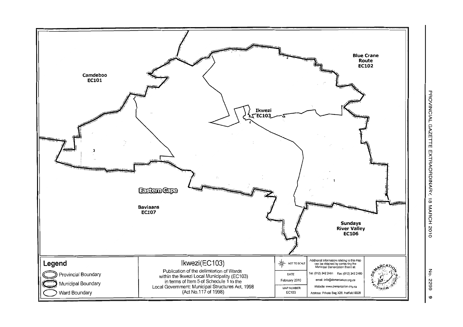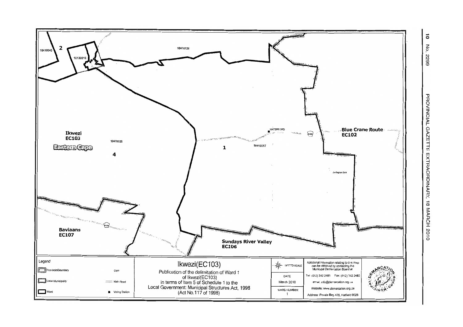

 $\vec{\circ}$ No. 6622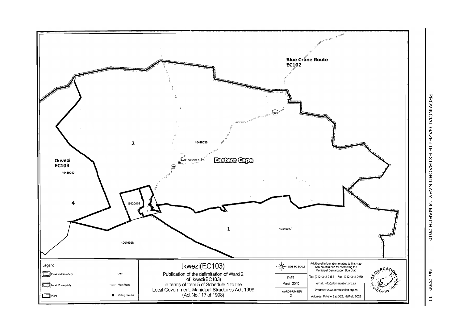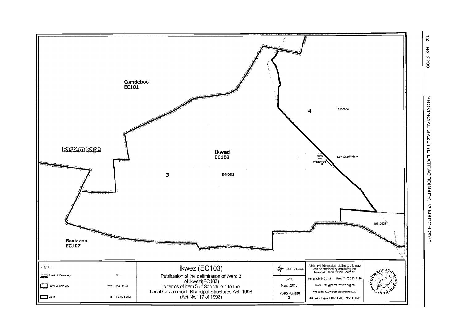